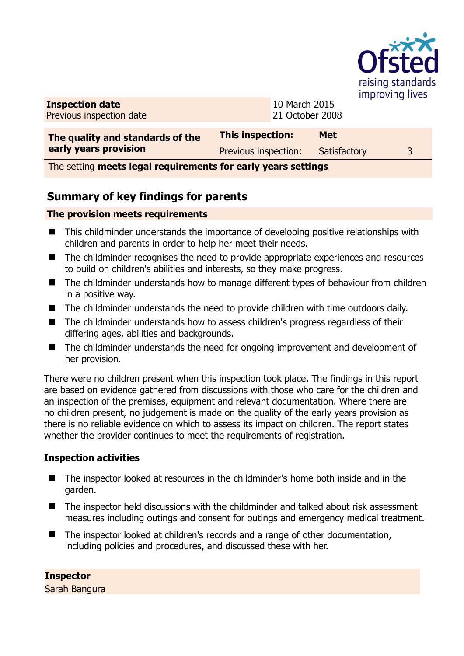

**Inspection date** Previous inspection date 10 March 2015 21 October 2008

| The quality and standards of the | This inspection:     | <b>Met</b>   |  |
|----------------------------------|----------------------|--------------|--|
| early years provision            | Previous inspection: | Satisfactory |  |

The setting **meets legal requirements for early years settings**

## **Summary of key findings for parents**

## **The provision meets requirements**

- This childminder understands the importance of developing positive relationships with children and parents in order to help her meet their needs.
- The childminder recognises the need to provide appropriate experiences and resources to build on children's abilities and interests, so they make progress.
- The childminder understands how to manage different types of behaviour from children in a positive way.
- The childminder understands the need to provide children with time outdoors daily.
- The childminder understands how to assess children's progress regardless of their differing ages, abilities and backgrounds.
- The childminder understands the need for ongoing improvement and development of her provision.

There were no children present when this inspection took place. The findings in this report are based on evidence gathered from discussions with those who care for the children and an inspection of the premises, equipment and relevant documentation. Where there are no children present, no judgement is made on the quality of the early years provision as there is no reliable evidence on which to assess its impact on children. The report states whether the provider continues to meet the requirements of registration.

## **Inspection activities**

- The inspector looked at resources in the childminder's home both inside and in the garden.
- The inspector held discussions with the childminder and talked about risk assessment measures including outings and consent for outings and emergency medical treatment.
- The inspector looked at children's records and a range of other documentation, including policies and procedures, and discussed these with her.

**Inspector**  Sarah Bangura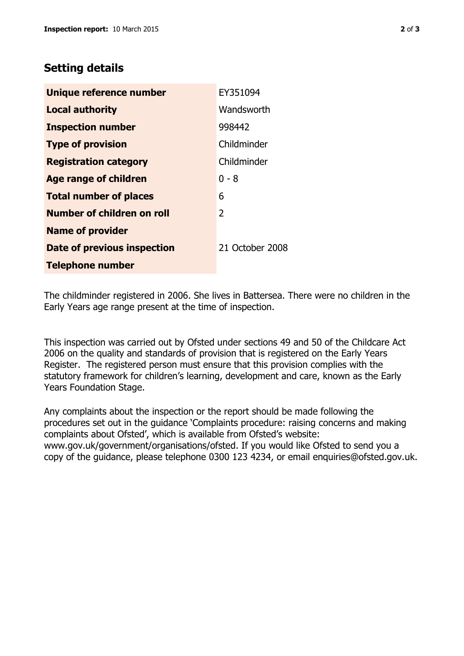## **Setting details**

| Unique reference number       | EY351094        |
|-------------------------------|-----------------|
| <b>Local authority</b>        | Wandsworth      |
| <b>Inspection number</b>      | 998442          |
| <b>Type of provision</b>      | Childminder     |
| <b>Registration category</b>  | Childminder     |
| <b>Age range of children</b>  | $0 - 8$         |
| <b>Total number of places</b> | 6               |
| Number of children on roll    | 2               |
| <b>Name of provider</b>       |                 |
| Date of previous inspection   | 21 October 2008 |
| <b>Telephone number</b>       |                 |

The childminder registered in 2006. She lives in Battersea. There were no children in the Early Years age range present at the time of inspection.

This inspection was carried out by Ofsted under sections 49 and 50 of the Childcare Act 2006 on the quality and standards of provision that is registered on the Early Years Register. The registered person must ensure that this provision complies with the statutory framework for children's learning, development and care, known as the Early Years Foundation Stage.

Any complaints about the inspection or the report should be made following the procedures set out in the guidance 'Complaints procedure: raising concerns and making complaints about Ofsted', which is available from Ofsted's website: www.gov.uk/government/organisations/ofsted. If you would like Ofsted to send you a copy of the guidance, please telephone 0300 123 4234, or email enquiries@ofsted.gov.uk.